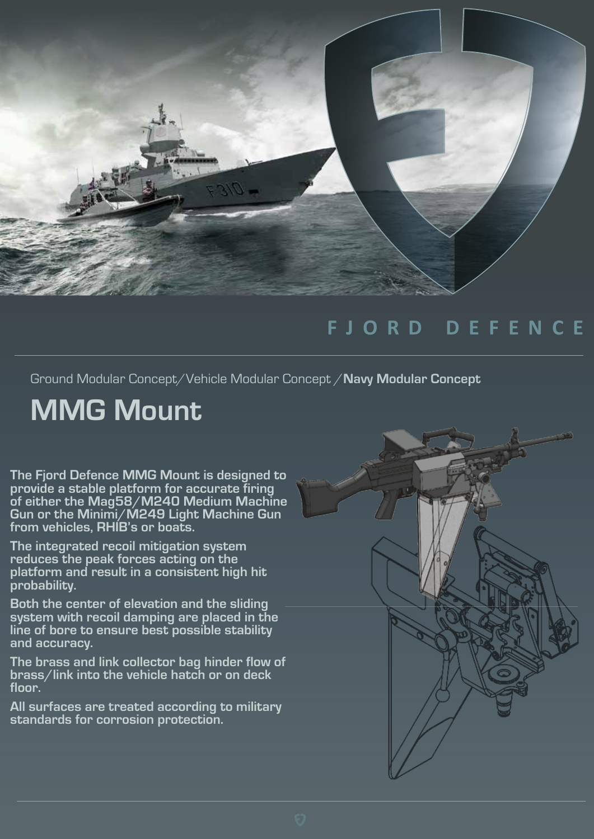

## **FJORD DEFENCE**

Ground Modular Concept/Vehicle Modular Concept /**Navy Modular Concept**

## **MMG Mount**

**The Fjord Defence MMG Mount is designed to provide a stable platform for accurate firing of either the Mag58/M240 Medium Machine Gun or the Minimi/M249 Light Machine Gun from vehicles, RHIB's or boats.** 

**The integrated recoil mitigation system reduces the peak forces acting on the platform and result in a consistent high hit probability.**

**Both the center of elevation and the sliding system with recoil damping are placed in the line of bore to ensure best possible stability and accuracy.** 

**The brass and link collector bag hinder flow of brass/link into the vehicle hatch or on deck floor.**

**All surfaces are treated according to military standards for corrosion protection.**